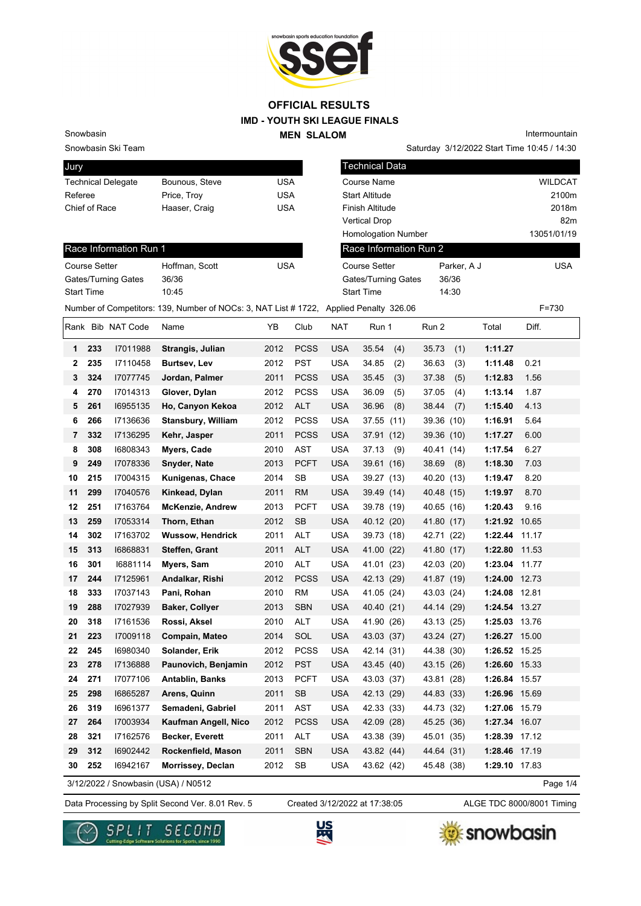

#### **IMD - YOUTH SKI LEAGUE FINALS OFFICIAL RESULTS**

#### Snowbasin

Jury

Snowbasin Ski Team

| <b>PULLY</b>              |                |     |
|---------------------------|----------------|-----|
| <b>Technical Delegate</b> | Bounous, Steve | USA |
| Referee                   | Price, Troy    | USA |
| Chief of Race             | Haaser, Craig  | USA |
|                           |                |     |

Saturday 3/12/2022 Start Time 10:45 / 14:30 Intermountain

| Jury              |                      |                            |                                                                                        |            |             |            | Technical Data             |              |               |                |
|-------------------|----------------------|----------------------------|----------------------------------------------------------------------------------------|------------|-------------|------------|----------------------------|--------------|---------------|----------------|
|                   |                      | <b>Technical Delegate</b>  | Bounous, Steve                                                                         | <b>USA</b> |             |            | Course Name                |              |               | <b>WILDCAT</b> |
| Referee           |                      |                            | Price, Troy                                                                            | <b>USA</b> |             |            | <b>Start Altitude</b>      |              |               | 2100m          |
|                   | Chief of Race        |                            | Haaser, Craig                                                                          | <b>USA</b> |             |            | Finish Altitude            |              |               | 2018m          |
|                   |                      |                            |                                                                                        |            |             |            | <b>Vertical Drop</b>       |              |               | 82m            |
|                   |                      |                            |                                                                                        |            |             |            | Homologation Number        |              |               | 13051/01/19    |
|                   |                      | Race Information Run 1     |                                                                                        |            |             |            | Race Information Run 2     |              |               |                |
|                   | <b>Course Setter</b> |                            | Hoffman, Scott                                                                         | <b>USA</b> |             |            | <b>Course Setter</b>       | Parker, A J  |               | <b>USA</b>     |
|                   |                      | <b>Gates/Turning Gates</b> | 36/36                                                                                  |            |             |            | <b>Gates/Turning Gates</b> | 36/36        |               |                |
| <b>Start Time</b> |                      |                            | 10:45                                                                                  |            |             |            | <b>Start Time</b>          | 14:30        |               |                |
|                   |                      |                            | Number of Competitors: 139, Number of NOCs: 3, NAT List # 1722, Applied Penalty 326.06 |            |             |            |                            |              |               | F=730          |
|                   |                      | Rank Bib NAT Code          | Name                                                                                   | YB         | Club        | NAT        | Run 1                      | Run 2        | Total         | Diff.          |
| 1                 | 233                  | 17011988                   | Strangis, Julian                                                                       | 2012       | <b>PCSS</b> | <b>USA</b> | 35.54<br>(4)               | 35.73<br>(1) | 1:11.27       |                |
| 2                 | 235                  | 17110458                   | <b>Burtsev, Lev</b>                                                                    | 2012       | <b>PST</b>  | <b>USA</b> | 34.85<br>(2)               | 36.63<br>(3) | 1:11.48       | 0.21           |
| 3                 | 324                  | 17077745                   | Jordan, Palmer                                                                         | 2011       | <b>PCSS</b> | <b>USA</b> | (3)<br>35.45               | 37.38<br>(5) | 1:12.83       | 1.56           |
| 4                 | 270                  | 17014313                   | Glover, Dylan                                                                          | 2012       | <b>PCSS</b> | <b>USA</b> | 36.09<br>(5)               | 37.05<br>(4) | 1:13.14       | 1.87           |
| 5                 | 261                  | 16955135                   | Ho, Canyon Kekoa                                                                       | 2012       | <b>ALT</b>  | <b>USA</b> | 36.96<br>(8)               | 38.44<br>(7) | 1:15.40       | 4.13           |
| 6                 | 266                  | 17136636                   | <b>Stansbury, William</b>                                                              | 2012       | <b>PCSS</b> | <b>USA</b> | 37.55 (11)                 | 39.36 (10)   | 1:16.91       | 5.64           |
| 7                 | 332                  | 17136295                   | Kehr, Jasper                                                                           | 2011       | <b>PCSS</b> | <b>USA</b> | 37.91 (12)                 | 39.36 (10)   | 1:17.27       | 6.00           |
| 8                 | 308                  | 16808343                   | Myers, Cade                                                                            | 2010       | <b>AST</b>  | <b>USA</b> | 37.13<br>(9)               | 40.41 (14)   | 1:17.54       | 6.27           |
| 9                 | 249                  | 17078336                   | Snyder, Nate                                                                           | 2013       | <b>PCFT</b> | <b>USA</b> | 39.61 (16)                 | 38.69<br>(8) | 1:18.30       | 7.03           |
| 10                | 215                  | 17004315                   | Kunigenas, Chace                                                                       | 2014       | <b>SB</b>   | <b>USA</b> | 39.27 (13)                 | 40.20 (13)   | 1:19.47       | 8.20           |
| 11                | 299                  | 17040576                   | Kinkead, Dylan                                                                         | 2011       | <b>RM</b>   | <b>USA</b> | 39.49 (14)                 | 40.48 (15)   | 1:19.97       | 8.70           |
| 12                | 251                  | 17163764                   | <b>McKenzie, Andrew</b>                                                                | 2013       | <b>PCFT</b> | <b>USA</b> | 39.78 (19)                 | 40.65 (16)   | 1:20.43       | 9.16           |
| 13                | 259                  | 17053314                   | Thorn, Ethan                                                                           | 2012       | <b>SB</b>   | <b>USA</b> | 40.12 (20)                 | 41.80 (17)   | 1:21.92 10.65 |                |
| 14                | 302                  | 17163702                   | <b>Wussow, Hendrick</b>                                                                | 2011       | ALT         | <b>USA</b> | 39.73 (18)                 | 42.71 (22)   | 1:22.44       | 11.17          |
| 15                | 313                  | 16868831                   | <b>Steffen, Grant</b>                                                                  | 2011       | <b>ALT</b>  | <b>USA</b> | 41.00 (22)                 | 41.80 (17)   | 1:22.80 11.53 |                |
| 16                | 301                  | 16881114                   | Myers, Sam                                                                             | 2010       | <b>ALT</b>  | <b>USA</b> | 41.01 (23)                 | 42.03 (20)   | 1:23.04 11.77 |                |
| 17                | 244                  | 17125961                   | Andalkar, Rishi                                                                        | 2012       | <b>PCSS</b> | <b>USA</b> | 42.13 (29)                 | 41.87 (19)   | 1:24.00 12.73 |                |
| 18                | 333                  | 17037143                   | Pani, Rohan                                                                            | 2010       | <b>RM</b>   | <b>USA</b> | 41.05 (24)                 | 43.03 (24)   | 1:24.08       | 12.81          |
| 19                | 288                  | 17027939                   | <b>Baker, Collyer</b>                                                                  | 2013       | <b>SBN</b>  | <b>USA</b> | 40.40 (21)                 | 44.14 (29)   | 1:24.54 13.27 |                |
| 20                | 318                  | 17161536                   | Rossi, Aksel                                                                           | 2010       | ALT         | <b>USA</b> | 41.90 (26)                 | 43.13 (25)   | 1:25.03 13.76 |                |
| 21                | 223                  | 17009118                   | Compain, Mateo                                                                         | 2014       | SOL         | <b>USA</b> | 43.03 (37)                 | 43.24 (27)   | 1:26.27 15.00 |                |
| 22                | 245                  | 16980340                   | Solander, Erik                                                                         | 2012       | <b>PCSS</b> | <b>USA</b> | 42.14 (31)                 | 44.38 (30)   | 1:26.52 15.25 |                |
| 23                | 278                  | 17136888                   | Paunovich, Benjamin                                                                    | 2012       | <b>PST</b>  | <b>USA</b> | 43.45 (40)                 | 43.15 (26)   | 1:26.60 15.33 |                |
| 24                | 271                  | 17077106                   | <b>Antablin, Banks</b>                                                                 | 2013       | <b>PCFT</b> | USA        | 43.03 (37)                 | 43.81 (28)   | 1:26.84 15.57 |                |
| 25                | 298                  | 16865287                   | Arens, Quinn                                                                           | 2011       | SB          | <b>USA</b> | 42.13 (29)                 | 44.83 (33)   | 1:26.96 15.69 |                |
| 26                | 319                  | 16961377                   | Semadeni, Gabriel                                                                      | 2011       | AST         | <b>USA</b> | 42.33 (33)                 | 44.73 (32)   | 1:27.06 15.79 |                |
| 27                | 264                  | 17003934                   | Kaufman Angell, Nico                                                                   | 2012       | <b>PCSS</b> | <b>USA</b> | 42.09 (28)                 | 45.25 (36)   | 1:27.34 16.07 |                |
| 28                | 321                  | 17162576                   | Becker, Everett                                                                        | 2011       | ALT         | USA        | 43.38 (39)                 | 45.01 (35)   | 1:28.39 17.12 |                |
| 29                | 312                  | 16902442                   | Rockenfield, Mason                                                                     | 2011       | <b>SBN</b>  | <b>USA</b> | 43.82 (44)                 | 44.64 (31)   | 1:28.46 17.19 |                |
| 30                | 252                  | 16942167                   | Morrissey, Declan                                                                      | 2012       | SB          | USA        | 43.62 (42)                 | 45.48 (38)   | 1:29.10 17.83 |                |

3/12/2022 / Snowbasin (USA) / N0512

Data Processing by Split Second Ver. 8.01 Rev. 5 Created 3/12/2022 at 17:38:05 ALGE TDC 8000/8001 Timing

Created 3/12/2022 at 17:38:05

Page 1/4





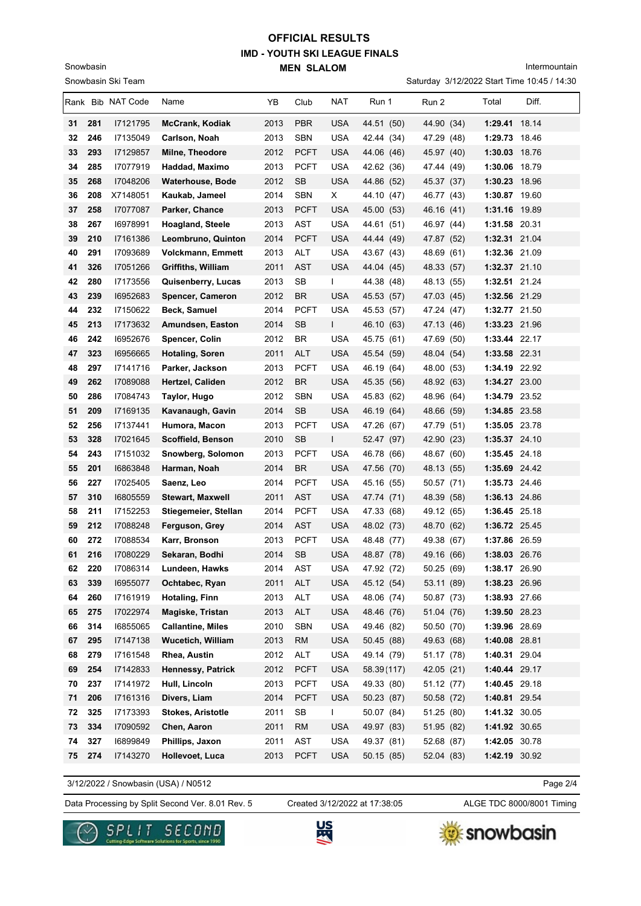# **IMD - YOUTH SKI LEAGUE FINALS MEN SLALOM OFFICIAL RESULTS**

Snowbasin

Snowbasin Ski Team

Intermountain

Saturday 3/12/2022 Start Time 10:45 / 14:30

|          |            | Rank Bib NAT Code    | Name                                         | YB           | Club              | NAT                      | Run 1                    | Run 2                    | Total                          | Diff. |
|----------|------------|----------------------|----------------------------------------------|--------------|-------------------|--------------------------|--------------------------|--------------------------|--------------------------------|-------|
| 31       | 281        | 17121795             | <b>McCrank, Kodiak</b>                       | 2013         | <b>PBR</b>        | <b>USA</b>               | 44.51 (50)               | 44.90 (34)               | 1:29.41 18.14                  |       |
| 32       | 246        | 17135049             | Carlson, Noah                                | 2013         | <b>SBN</b>        | <b>USA</b>               | 42.44 (34)               | 47.29 (48)               | 1:29.73 18.46                  |       |
| 33       | 293        | 17129857             | Milne, Theodore                              | 2012         | <b>PCFT</b>       | <b>USA</b>               | 44.06 (46)               | 45.97 (40)               | 1:30.03 18.76                  |       |
| 34       | 285        | 17077919             | Haddad, Maximo                               | 2013         | PCFT              | USA                      | 42.62 (36)               | 47.44 (49)               | 1:30.06 18.79                  |       |
| 35       | 268        | 17048206             | <b>Waterhouse, Bode</b>                      | 2012         | <b>SB</b>         | <b>USA</b>               | 44.86 (52)               | 45.37 (37)               | 1:30.23 18.96                  |       |
| 36       | 208        | X7148051             | Kaukab, Jameel                               | 2014         | <b>SBN</b>        | X                        | 44.10 (47)               | 46.77 (43)               | 1:30.87 19.60                  |       |
| 37       | 258        | 17077087             | Parker, Chance                               | 2013         | <b>PCFT</b>       | <b>USA</b>               | 45.00 (53)               | 46.16 (41)               | 1:31.16 19.89                  |       |
| 38       | 267        | 16978991             | <b>Hoagland, Steele</b>                      | 2013         | AST               | <b>USA</b>               | 44.61 (51)               | 46.97 (44)               | 1:31.58 20.31                  |       |
| 39       | 210        | 17161386             | Leombruno, Quinton                           | 2014         | <b>PCFT</b>       | <b>USA</b>               | 44.44 (49)               | 47.87 (52)               | 1:32.31 21.04                  |       |
| 40       | 291        | 17093689             | <b>Volckmann, Emmett</b>                     | 2013         | <b>ALT</b>        | <b>USA</b>               | 43.67 (43)               | 48.69 (61)               | 1:32.36 21.09                  |       |
| 41       | 326        | 17051266             | Griffiths, William                           | 2011         | <b>AST</b>        | USA                      | 44.04 (45)               | 48.33 (57)               | 1:32.37 21.10                  |       |
| 42       | 280        | 17173556             | Quisenberry, Lucas                           | 2013         | SB                | L                        | 44.38 (48)               | 48.13 (55)               | 1:32.51 21.24                  |       |
| 43       | 239        | 16952683             | Spencer, Cameron                             | 2012         | BR                | <b>USA</b>               | 45.53 (57)               | 47.03 (45)               | 1:32.56 21.29                  |       |
| 44       | 232        | 17150622             | Beck, Samuel                                 | 2014         | <b>PCFT</b>       | <b>USA</b>               | 45.53 (57)               | 47.24 (47)               | 1:32.77 21.50                  |       |
| 45       | 213        | 17173632             | Amundsen, Easton                             | 2014         | <b>SB</b>         | L                        | 46.10 (63)               | 47.13 (46)               | 1:33.23 21.96                  |       |
| 46       | 242        | 16952676             | Spencer, Colin                               | 2012         | <b>BR</b>         | <b>USA</b>               | 45.75 (61)               | 47.69 (50)               | 1:33.44 22.17                  |       |
| 47       | 323        | 16956665             | Hotaling, Soren                              | 2011         | <b>ALT</b>        | <b>USA</b>               | 45.54 (59)               | 48.04 (54)               | 1:33.58 22.31                  |       |
| 48       | 297        | 17141716             | Parker, Jackson                              | 2013         | <b>PCFT</b>       | <b>USA</b>               | 46.19 (64)               | 48.00<br>(53)            | 1:34.19 22.92                  |       |
| 49       | 262        | 17089088             | Hertzel, Caliden                             | 2012         | <b>BR</b>         | <b>USA</b>               | 45.35 (56)               | 48.92 (63)               | 1:34.27 23.00                  |       |
| 50       | 286        | 17084743             | Taylor, Hugo                                 | 2012         | <b>SBN</b>        | <b>USA</b>               | 45.83 (62)               | 48.96 (64)               | 1:34.79 23.52                  |       |
| 51       | 209        | I7169135             | Kavanaugh, Gavin                             | 2014         | SB                | <b>USA</b>               | 46.19 (64)               | 48.66 (59)               | 1:34.85 23.58                  |       |
| 52       | 256        | 17137441             | Humora, Macon                                | 2013         | <b>PCFT</b>       | <b>USA</b>               | 47.26 (67)               | 47.79 (51)               | 1:35.05 23.78                  |       |
| 53       | 328        | 17021645             | Scoffield, Benson                            | 2010         | <b>SB</b>         | L                        | 52.47 (97)               | 42.90 (23)               | $1:35.37$ 24.10                |       |
| 54       | 243        | 17151032             | Snowberg, Solomon                            | 2013         | <b>PCFT</b>       | USA                      | 46.78 (66)               | 48.67 (60)               | 1:35.45 24.18                  |       |
| 55       | 201        | 16863848             | Harman, Noah                                 | 2014         | BR                | <b>USA</b>               | 47.56 (70)               | 48.13 (55)               | 1:35.69 24.42                  |       |
| 56       | 227        | 17025405             | Saenz, Leo                                   | 2014         | <b>PCFT</b>       | <b>USA</b>               | 45.16 (55)               | 50.57 (71)               | 1:35.73 24.46                  |       |
| 57       | 310        | 16805559             | <b>Stewart, Maxwell</b>                      | 2011         | AST               | USA                      | 47.74 (71)               | 48.39 (58)               | 1:36.13 24.86                  |       |
| 58       | 211        | 17152253             | Stiegemeier, Stellan                         | 2014         | <b>PCFT</b>       | USA                      | 47.33 (68)               | 49.12 (65)               | 1:36.45 25.18                  |       |
| 59       | 212        | 17088248             | Ferguson, Grey                               | 2014         | AST               | <b>USA</b>               | 48.02 (73)               | 48.70 (62)               | 1:36.72 25.45                  |       |
| 60       | 272        | 17088534             | Karr, Bronson                                | 2013         | <b>PCFT</b>       | <b>USA</b>               | 48.48 (77)               | 49.38 (67)               | 1:37.86 26.59                  |       |
| 61       | 216        | 17080229             | Sekaran, Bodhi                               | 2014         | SB                | <b>USA</b>               | 48.87 (78)               | 49.16 (66)               | 1:38.03 26.76                  |       |
| 62       | 220        | 17086314             | Lundeen, Hawks                               | 2014         | AST               | <b>USA</b>               | 47.92 (72)               | 50.25 (69)               | 1:38.17 26.90                  |       |
| 63       | 339        | 16955077             | Ochtabec, Ryan                               | 2011         | <b>ALT</b>        | USA                      | 45.12 (54)               | 53.11 (89)               | 1:38.23 26.96                  |       |
| 64       | 260        | 17161919             | <b>Hotaling, Finn</b>                        | 2013         | ALT               | <b>USA</b>               | 48.06 (74)               | 50.87 (73)               | 1:38.93 27.66                  |       |
| 65<br>66 | 275<br>314 | 17022974<br>16855065 | Magiske, Tristan<br><b>Callantine, Miles</b> | 2013<br>2010 | ALT<br><b>SBN</b> | <b>USA</b><br><b>USA</b> | 48.46 (76)               | 51.04 (76)               | 1:39.50 28.23                  |       |
|          | 295        | 17147138             | <b>Wucetich, William</b>                     |              |                   | <b>USA</b>               | 49.46 (82)               | 50.50 (70)               | 1:39.96 28.69                  |       |
| 67<br>68 | 279        | 17161548             | Rhea, Austin                                 | 2013<br>2012 | <b>RM</b><br>ALT  | USA                      | 50.45 (88)<br>49.14 (79) | 49.63 (68)<br>51.17 (78) | 1:40.08 28.81<br>1:40.31 29.04 |       |
| 69       | 254        | 17142833             | Hennessy, Patrick                            | 2012         | <b>PCFT</b>       | <b>USA</b>               | 58.39(117)               | 42.05 (21)               | 1:40.44 29.17                  |       |
|          | 237        | 17141972             | Hull, Lincoln                                | 2013         | <b>PCFT</b>       | <b>USA</b>               | 49.33 (80)               |                          | 1:40.45 29.18                  |       |
| 70<br>71 | 206        | 17161316             | Divers, Liam                                 | 2014         | <b>PCFT</b>       | <b>USA</b>               | 50.23 (87)               | 51.12 (77)<br>50.58 (72) | 1:40.81 29.54                  |       |
| 72       | 325        | 17173393             | <b>Stokes, Aristotle</b>                     | 2011         | SB                | L                        | 50.07 (84)               | 51.25 (80)               | 1:41.32 30.05                  |       |
| 73       | 334        | 17090592             | Chen, Aaron                                  | 2011         | <b>RM</b>         | <b>USA</b>               | 49.97 (83)               | 51.95 (82)               | 1:41.92 30.65                  |       |
| 74       | 327        | 16899849             | Phillips, Jaxon                              | 2011         | AST               | <b>USA</b>               | 49.37 (81)               | 52.68 (87)               | 1:42.05 30.78                  |       |
| 75       | 274        | 17143270             | Hollevoet, Luca                              | 2013         | <b>PCFT</b>       | <b>USA</b>               | 50.15(85)                | 52.04 (83)               | 1:42.19 30.92                  |       |
|          |            |                      |                                              |              |                   |                          |                          |                          |                                |       |

3/12/2022 / Snowbasin (USA) / N0512

Data Processing by Split Second Ver. 8.01 Rev. 5 Created 3/12/2022 at 17:38:05 ALGE TDC 8000/8001 Timing Created 3/12/2022 at 17:38:05

Page 2/4





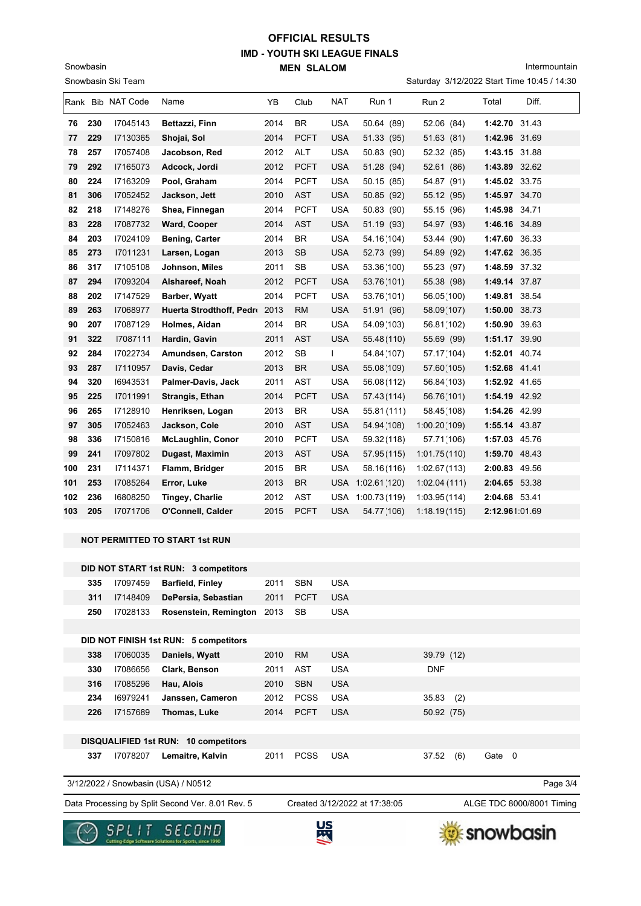## **IMD - YOUTH SKI LEAGUE FINALS MEN SLALOM OFFICIAL RESULTS**

Snowbasin

Intermountain

|     |     | Snowbasin Ski Team                                                                                                                                                                                            |                          |      |             |            |                  | Saturday 3/12/2022 Start Time 10:45 / 14:30 |                |       |
|-----|-----|---------------------------------------------------------------------------------------------------------------------------------------------------------------------------------------------------------------|--------------------------|------|-------------|------------|------------------|---------------------------------------------|----------------|-------|
|     |     | Rank Bib NAT Code                                                                                                                                                                                             | Name                     | YB   | Club        | <b>NAT</b> | Run 1            | Run 2                                       | Total          | Diff. |
| 76  | 230 | 17045143                                                                                                                                                                                                      | Bettazzi, Finn           | 2014 | BR.         | <b>USA</b> | 50.64 (89)       | 52.06 (84)                                  | 1:42.70 31.43  |       |
| 77  | 229 | 17130365                                                                                                                                                                                                      | Shojai, Sol              | 2014 | <b>PCFT</b> | <b>USA</b> | 51.33 (95)       | 51.63(81)                                   | 1:42.96 31.69  |       |
| 78  | 257 | 17057408                                                                                                                                                                                                      | Jacobson, Red            | 2012 | ALT         | <b>USA</b> | 50.83 (90)       | 52.32 (85)                                  | 1:43.15 31.88  |       |
| 79  | 292 | 17165073                                                                                                                                                                                                      | Adcock, Jordi            | 2012 | <b>PCFT</b> | <b>USA</b> | 51.28 (94)       | 52.61 (86)                                  | 1:43.89 32.62  |       |
| 80  | 224 | 17163209                                                                                                                                                                                                      | Pool, Graham             | 2014 | <b>PCFT</b> | <b>USA</b> | 50.15 (85)       | 54.87 (91)                                  | 1:45.02 33.75  |       |
| 81  | 306 | 17052452                                                                                                                                                                                                      | Jackson, Jett            | 2010 | <b>AST</b>  | <b>USA</b> | 50.85 (92)       | 55.12 (95)                                  | 1:45.97 34.70  |       |
| 82  | 218 | 17148276                                                                                                                                                                                                      | Shea, Finnegan           | 2014 | <b>PCFT</b> | <b>USA</b> | 50.83 (90)       | 55.15 (96)                                  | 1:45.98 34.71  |       |
| 83  | 228 | 17087732                                                                                                                                                                                                      | Ward, Cooper             | 2014 | <b>AST</b>  | <b>USA</b> | 51.19 (93)       | 54.97 (93)                                  | 1:46.16 34.89  |       |
| 84  | 203 | 17024109                                                                                                                                                                                                      | <b>Bening, Carter</b>    | 2014 | BR          | <b>USA</b> | 54.16(104)       | 53.44 (90)                                  | 1:47.60 36.33  |       |
| 85  | 273 | 17011231                                                                                                                                                                                                      | Larsen, Logan            | 2013 | <b>SB</b>   | <b>USA</b> | 52.73 (99)       | 54.89 (92)                                  | 1:47.62 36.35  |       |
| 86  | 317 | 17105108                                                                                                                                                                                                      | Johnson, Miles           | 2011 | SB          | <b>USA</b> | 53.36(100)       | 55.23 (97)                                  | 1:48.59 37.32  |       |
| 87  | 294 | 17093204                                                                                                                                                                                                      | Alshareef, Noah          | 2012 | <b>PCFT</b> | <b>USA</b> | 53.76(101)       | 55.38 (98)                                  | 1:49.14 37.87  |       |
| 88  | 202 | 17147529                                                                                                                                                                                                      | Barber, Wyatt            | 2014 | <b>PCFT</b> | <b>USA</b> | 53.76(101)       | 56.05(100)                                  | 1:49.81 38.54  |       |
| 89  | 263 | 17068977                                                                                                                                                                                                      | Huerta Strodthoff, Pedro | 2013 | RM          | <b>USA</b> | 51.91 (96)       | 58.09(107)                                  | 1:50.00 38.73  |       |
| 90  | 207 | 17087129                                                                                                                                                                                                      | Holmes, Aidan            | 2014 | BR          | <b>USA</b> | 54.09 (103)      | 56.81(102)                                  | 1:50.90 39.63  |       |
| 91  | 322 | 17087111                                                                                                                                                                                                      | Hardin, Gavin            | 2011 | <b>AST</b>  | <b>USA</b> | 55.48(110)       | 55.69 (99)                                  | 1:51.17 39.90  |       |
| 92  | 284 | 17022734                                                                                                                                                                                                      | Amundsen, Carston        | 2012 | SB          | L          | 54.84 (107)      | 57.17(104)                                  | 1:52.01 40.74  |       |
| 93  | 287 | I7110957                                                                                                                                                                                                      | Davis, Cedar             | 2013 | <b>BR</b>   | <b>USA</b> | 55.08 (109)      | 57.60(105)                                  | 1:52.68 41.41  |       |
| 94  | 320 | 16943531                                                                                                                                                                                                      | Palmer-Davis, Jack       | 2011 | AST         | <b>USA</b> | 56.08(112)       | 56.84 (103)                                 | 1:52.92 41.65  |       |
| 95  | 225 | 17011991                                                                                                                                                                                                      | Strangis, Ethan          | 2014 | <b>PCFT</b> | <b>USA</b> | 57.43(114)       | 56.76(101)                                  | 1:54.19 42.92  |       |
| 96  | 265 | 17128910                                                                                                                                                                                                      | Henriksen, Logan         | 2013 | BR.         | <b>USA</b> | 55.81 (111)      | 58.45 (108)                                 | 1:54.26 42.99  |       |
| 97  | 305 | 17052463                                                                                                                                                                                                      | Jackson, Cole            | 2010 | <b>AST</b>  | <b>USA</b> | 54.94 (108)      | 1:00.20(109)                                | 1:55.14 43.87  |       |
| 98  | 336 | 17150816                                                                                                                                                                                                      | <b>McLaughlin, Conor</b> | 2010 | <b>PCFT</b> | <b>USA</b> | 59.32(118)       | 57.71 (106)                                 | 1:57.03 45.76  |       |
| 99  | 241 | 17097802                                                                                                                                                                                                      | Dugast, Maximin          | 2013 | <b>AST</b>  | <b>USA</b> | 57.95 (115)      | 1:01.75(110)                                | 1:59.70 48.43  |       |
| 100 | 231 | 17114371                                                                                                                                                                                                      | Flamm, Bridger           | 2015 | BR          | <b>USA</b> | 58.16(116)       | 1:02.67(113)                                | 2:00.83 49.56  |       |
| 101 | 253 | 17085264                                                                                                                                                                                                      | Error, Luke              | 2013 | <b>BR</b>   | <b>USA</b> | 1:02.61(120)     | 1:02.04(111)                                | 2:04.65 53.38  |       |
| 102 | 236 | 16808250                                                                                                                                                                                                      | <b>Tingey, Charlie</b>   | 2012 | <b>AST</b>  |            | USA 1:00.73(119) | 1:03.95(114)                                | 2:04.68 53.41  |       |
| 103 | 205 | 17071706                                                                                                                                                                                                      | O'Connell, Calder        | 2015 | <b>PCFT</b> | <b>USA</b> | 54.77 (106)      | 1:18.19(115)                                | 2:12.961:01.69 |       |
|     |     |                                                                                                                                                                                                               |                          |      |             |            |                  |                                             |                |       |
|     |     |                                                                                                                                                                                                               |                          |      |             |            |                  |                                             |                |       |
|     |     |                                                                                                                                                                                                               |                          |      |             |            |                  |                                             |                |       |
|     | 335 | 17097459                                                                                                                                                                                                      | <b>Barfield, Finley</b>  | 2011 | <b>SBN</b>  | <b>USA</b> |                  |                                             |                |       |
|     | 311 | 17148409                                                                                                                                                                                                      | DePersia, Sebastian      | 2011 | <b>PCFT</b> | <b>USA</b> |                  |                                             |                |       |
|     | 250 | 17028133                                                                                                                                                                                                      | Rosenstein, Remington    | 2013 | SB          |            |                  |                                             |                |       |
|     |     |                                                                                                                                                                                                               |                          |      |             |            |                  |                                             |                |       |
|     | 338 |                                                                                                                                                                                                               | Daniels, Wyatt           | 2010 |             | <b>USA</b> |                  |                                             |                |       |
|     | 330 | 17086656                                                                                                                                                                                                      | Clark, Benson            | 2011 | <b>AST</b>  | <b>USA</b> |                  | <b>DNF</b>                                  |                |       |
|     | 316 | 17085296                                                                                                                                                                                                      | Hau, Alois               | 2010 | <b>SBN</b>  | <b>USA</b> |                  |                                             |                |       |
|     | 234 | 16979241                                                                                                                                                                                                      | Janssen, Cameron         | 2012 | <b>PCSS</b> | <b>USA</b> |                  | 35.83<br>(2)                                |                |       |
|     | 226 | 17157689                                                                                                                                                                                                      | Thomas, Luke             | 2014 | <b>PCFT</b> | <b>USA</b> |                  | 50.92 (75)                                  |                |       |
|     |     | NOT PERMITTED TO START 1st RUN<br>DID NOT START 1st RUN: 3 competitors<br><b>USA</b><br>DID NOT FINISH 1st RUN: 5 competitors<br>${\sf RM}$<br>17060035<br>39.79 (12)<br>DIROUALIEIED 4et DUN: 40 compositors |                          |      |             |            |                  |                                             |                |       |

**DISQUALIFIED 1st RUN: 10 competitors 337** I7078207 **Lemaitre, Kalvin** 2011 PCSS USA 37.52 (6) Gate 0

3/12/2022 / Snowbasin (USA) / N0512

Data Processing by Split Second Ver. 8.01 Rev. 5 Created 3/12/2022 at 17:38:05 ALGE TDC 8000/8001 Timing

Created 3/12/2022 at 17:38:05

Page 3/4